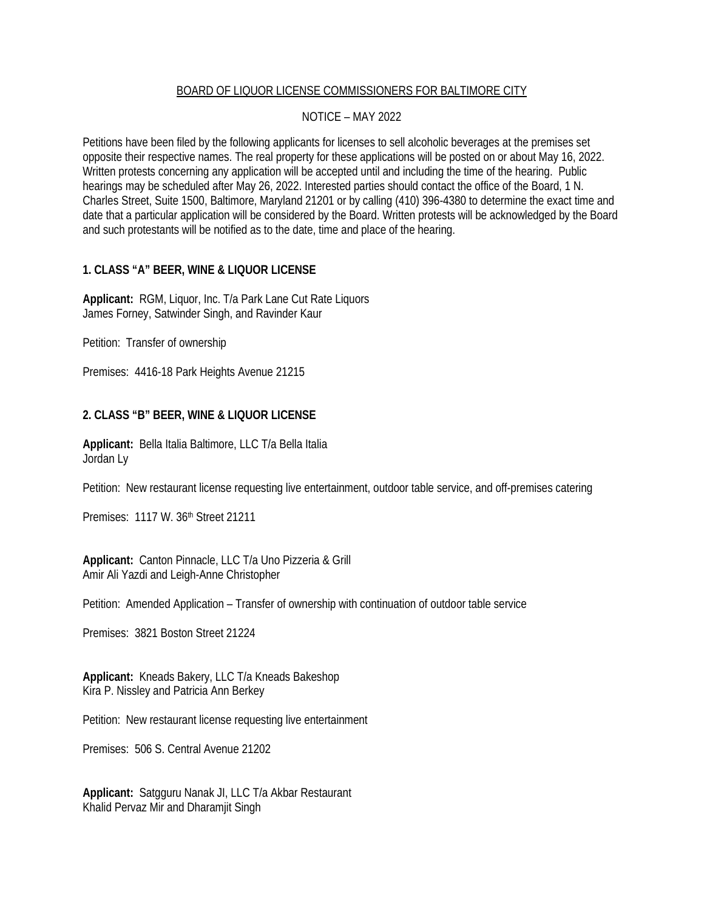## BOARD OF LIQUOR LICENSE COMMISSIONERS FOR BALTIMORE CITY

## NOTICE – MAY 2022

Petitions have been filed by the following applicants for licenses to sell alcoholic beverages at the premises set opposite their respective names. The real property for these applications will be posted on or about May 16, 2022. Written protests concerning any application will be accepted until and including the time of the hearing. Public hearings may be scheduled after May 26, 2022. Interested parties should contact the office of the Board, 1 N. Charles Street, Suite 1500, Baltimore, Maryland 21201 or by calling (410) 396-4380 to determine the exact time and date that a particular application will be considered by the Board. Written protests will be acknowledged by the Board and such protestants will be notified as to the date, time and place of the hearing.

## **1. CLASS "A" BEER, WINE & LIQUOR LICENSE**

**Applicant:** RGM, Liquor, Inc. T/a Park Lane Cut Rate Liquors James Forney, Satwinder Singh, and Ravinder Kaur

Petition: Transfer of ownership

Premises: 4416-18 Park Heights Avenue 21215

# **2. CLASS "B" BEER, WINE & LIQUOR LICENSE**

**Applicant:** Bella Italia Baltimore, LLC T/a Bella Italia Jordan Ly

Petition: New restaurant license requesting live entertainment, outdoor table service, and off-premises catering

Premises: 1117 W. 36th Street 21211

**Applicant:** Canton Pinnacle, LLC T/a Uno Pizzeria & Grill Amir Ali Yazdi and Leigh-Anne Christopher

Petition: Amended Application – Transfer of ownership with continuation of outdoor table service

Premises: 3821 Boston Street 21224

**Applicant:** Kneads Bakery, LLC T/a Kneads Bakeshop Kira P. Nissley and Patricia Ann Berkey

Petition: New restaurant license requesting live entertainment

Premises: 506 S. Central Avenue 21202

**Applicant:** Satgguru Nanak JI, LLC T/a Akbar Restaurant Khalid Pervaz Mir and Dharamjit Singh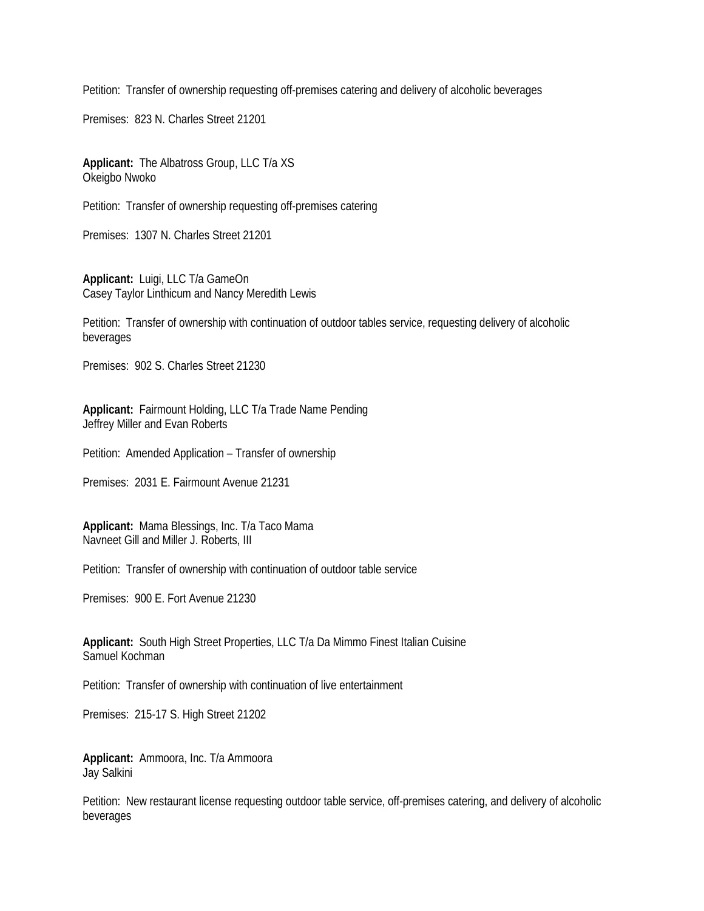Petition: Transfer of ownership requesting off-premises catering and delivery of alcoholic beverages

Premises: 823 N. Charles Street 21201

**Applicant:** The Albatross Group, LLC T/a XS Okeigbo Nwoko

Petition: Transfer of ownership requesting off-premises catering

Premises: 1307 N. Charles Street 21201

**Applicant:** Luigi, LLC T/a GameOn Casey Taylor Linthicum and Nancy Meredith Lewis

Petition: Transfer of ownership with continuation of outdoor tables service, requesting delivery of alcoholic beverages

Premises: 902 S. Charles Street 21230

**Applicant:** Fairmount Holding, LLC T/a Trade Name Pending Jeffrey Miller and Evan Roberts

Petition: Amended Application – Transfer of ownership

Premises: 2031 E. Fairmount Avenue 21231

**Applicant:** Mama Blessings, Inc. T/a Taco Mama Navneet Gill and Miller J. Roberts, III

Petition: Transfer of ownership with continuation of outdoor table service

Premises: 900 E. Fort Avenue 21230

**Applicant:** South High Street Properties, LLC T/a Da Mimmo Finest Italian Cuisine Samuel Kochman

Petition: Transfer of ownership with continuation of live entertainment

Premises: 215-17 S. High Street 21202

**Applicant:** Ammoora, Inc. T/a Ammoora Jay Salkini

Petition: New restaurant license requesting outdoor table service, off-premises catering, and delivery of alcoholic beverages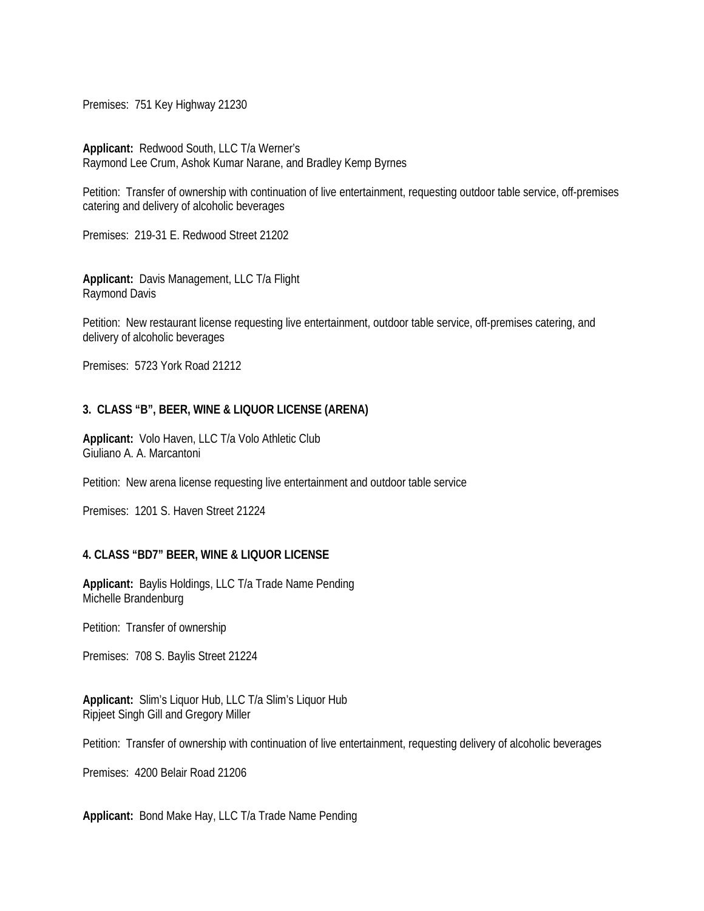Premises: 751 Key Highway 21230

**Applicant:** Redwood South, LLC T/a Werner's Raymond Lee Crum, Ashok Kumar Narane, and Bradley Kemp Byrnes

Petition: Transfer of ownership with continuation of live entertainment, requesting outdoor table service, off-premises catering and delivery of alcoholic beverages

Premises: 219-31 E. Redwood Street 21202

**Applicant:** Davis Management, LLC T/a Flight Raymond Davis

Petition: New restaurant license requesting live entertainment, outdoor table service, off-premises catering, and delivery of alcoholic beverages

Premises: 5723 York Road 21212

## **3. CLASS "B", BEER, WINE & LIQUOR LICENSE (ARENA)**

**Applicant:** Volo Haven, LLC T/a Volo Athletic Club Giuliano A. A. Marcantoni

Petition: New arena license requesting live entertainment and outdoor table service

Premises: 1201 S. Haven Street 21224

#### **4. CLASS "BD7" BEER, WINE & LIQUOR LICENSE**

**Applicant:** Baylis Holdings, LLC T/a Trade Name Pending Michelle Brandenburg

Petition: Transfer of ownership

Premises: 708 S. Baylis Street 21224

**Applicant:** Slim's Liquor Hub, LLC T/a Slim's Liquor Hub Ripjeet Singh Gill and Gregory Miller

Petition: Transfer of ownership with continuation of live entertainment, requesting delivery of alcoholic beverages

Premises: 4200 Belair Road 21206

**Applicant:** Bond Make Hay, LLC T/a Trade Name Pending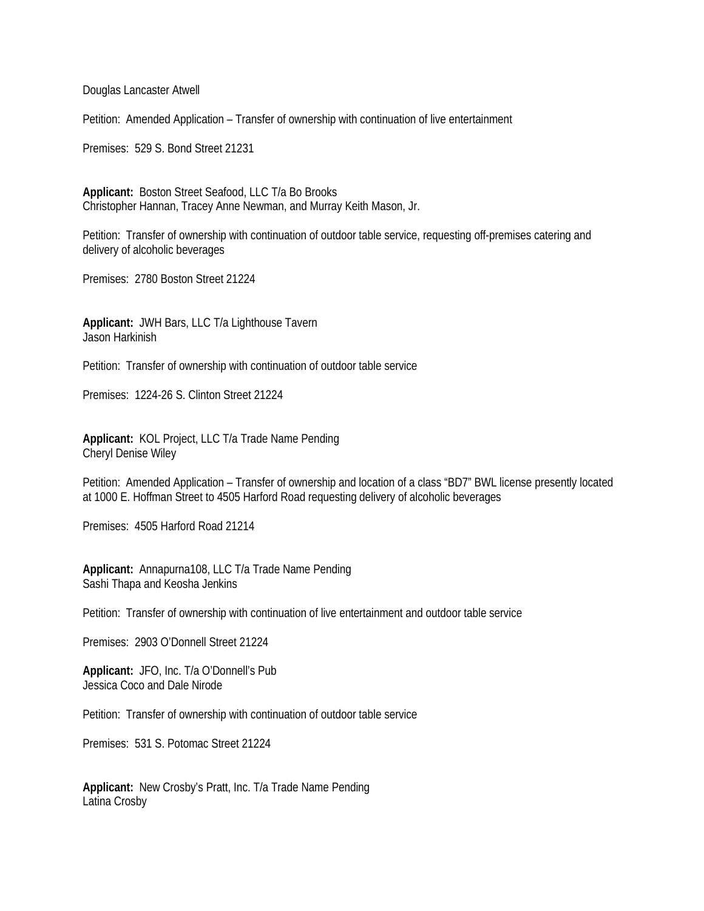Douglas Lancaster Atwell

Petition: Amended Application – Transfer of ownership with continuation of live entertainment

Premises: 529 S. Bond Street 21231

**Applicant:** Boston Street Seafood, LLC T/a Bo Brooks Christopher Hannan, Tracey Anne Newman, and Murray Keith Mason, Jr.

Petition: Transfer of ownership with continuation of outdoor table service, requesting off-premises catering and delivery of alcoholic beverages

Premises: 2780 Boston Street 21224

**Applicant:** JWH Bars, LLC T/a Lighthouse Tavern Jason Harkinish

Petition: Transfer of ownership with continuation of outdoor table service

Premises: 1224-26 S. Clinton Street 21224

**Applicant:** KOL Project, LLC T/a Trade Name Pending Cheryl Denise Wiley

Petition: Amended Application – Transfer of ownership and location of a class "BD7" BWL license presently located at 1000 E. Hoffman Street to 4505 Harford Road requesting delivery of alcoholic beverages

Premises: 4505 Harford Road 21214

**Applicant:** Annapurna108, LLC T/a Trade Name Pending Sashi Thapa and Keosha Jenkins

Petition: Transfer of ownership with continuation of live entertainment and outdoor table service

Premises: 2903 O'Donnell Street 21224

**Applicant:** JFO, Inc. T/a O'Donnell's Pub Jessica Coco and Dale Nirode

Petition: Transfer of ownership with continuation of outdoor table service

Premises: 531 S. Potomac Street 21224

**Applicant:** New Crosby's Pratt, Inc. T/a Trade Name Pending Latina Crosby